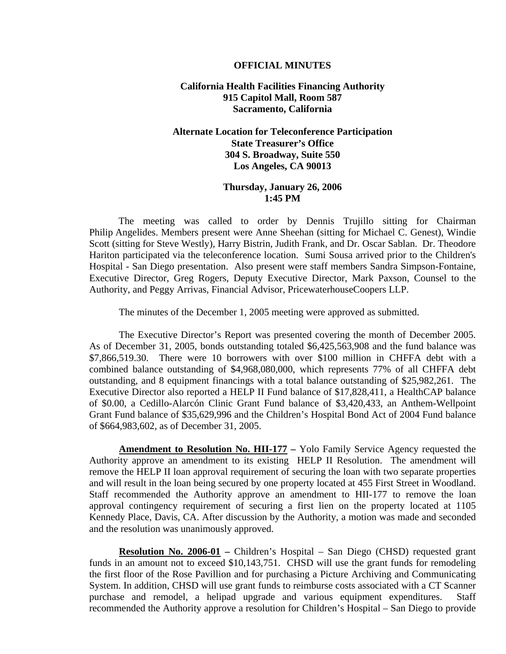#### **OFFICIAL MINUTES**

### **California Health Facilities Financing Authority 915 Capitol Mall, Room 587 Sacramento, California**

## **Alternate Location for Teleconference Participation State Treasurer's Office 304 S. Broadway, Suite 550 Los Angeles, CA 90013**

#### **Thursday, January 26, 2006 1:45 PM**

 The meeting was called to order by Dennis Trujillo sitting for Chairman Philip Angelides. Members present were Anne Sheehan (sitting for Michael C. Genest), Windie Scott (sitting for Steve Westly), Harry Bistrin, Judith Frank, and Dr. Oscar Sablan. Dr. Theodore Hariton participated via the teleconference location. Sumi Sousa arrived prior to the Children's Hospital - San Diego presentation. Also present were staff members Sandra Simpson-Fontaine, Executive Director, Greg Rogers, Deputy Executive Director, Mark Paxson, Counsel to the Authority, and Peggy Arrivas, Financial Advisor, PricewaterhouseCoopers LLP.

The minutes of the December 1, 2005 meeting were approved as submitted.

 The Executive Director's Report was presented covering the month of December 2005. As of December 31, 2005, bonds outstanding totaled \$6,425,563,908 and the fund balance was \$7,866,519.30. There were 10 borrowers with over \$100 million in CHFFA debt with a combined balance outstanding of \$4,968,080,000, which represents 77% of all CHFFA debt outstanding, and 8 equipment financings with a total balance outstanding of \$25,982,261. The Executive Director also reported a HELP II Fund balance of \$17,828,411, a HealthCAP balance of \$0.00, a Cedillo-Alarcón Clinic Grant Fund balance of \$3,420,433, an Anthem-Wellpoint Grant Fund balance of \$35,629,996 and the Children's Hospital Bond Act of 2004 Fund balance of \$664,983,602, as of December 31, 2005.

**Amendment to Resolution No. HII-177 –** Yolo Family Service Agency requested the Authority approve an amendment to its existing HELP II Resolution. The amendment will remove the HELP II loan approval requirement of securing the loan with two separate properties and will result in the loan being secured by one property located at 455 First Street in Woodland. Staff recommended the Authority approve an amendment to HII-177 to remove the loan approval contingency requirement of securing a first lien on the property located at 1105 Kennedy Place, Davis, CA. After discussion by the Authority, a motion was made and seconded and the resolution was unanimously approved.

**Resolution No. 2006-01 –** Children's Hospital – San Diego (CHSD) requested grant funds in an amount not to exceed \$10,143,751. CHSD will use the grant funds for remodeling the first floor of the Rose Pavillion and for purchasing a Picture Archiving and Communicating System. In addition, CHSD will use grant funds to reimburse costs associated with a CT Scanner purchase and remodel, a helipad upgrade and various equipment expenditures. Staff recommended the Authority approve a resolution for Children's Hospital – San Diego to provide